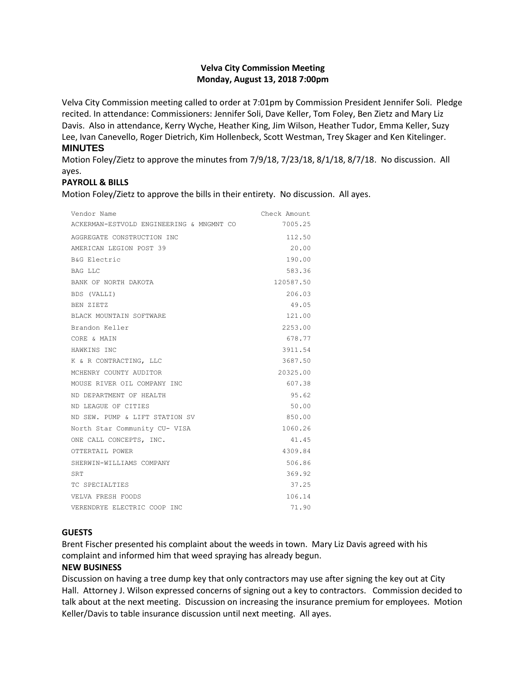# **Velva City Commission Meeting Monday, August 13, 2018 7:00pm**

Velva City Commission meeting called to order at 7:01pm by Commission President Jennifer Soli. Pledge recited. In attendance: Commissioners: Jennifer Soli, Dave Keller, Tom Foley, Ben Zietz and Mary Liz Davis. Also in attendance, Kerry Wyche, Heather King, Jim Wilson, Heather Tudor, Emma Keller, Suzy Lee, Ivan Canevello, Roger Dietrich, Kim Hollenbeck, Scott Westman, Trey Skager and Ken Kitelinger.

## **MINUTES**

Motion Foley/Zietz to approve the minutes from 7/9/18, 7/23/18, 8/1/18, 8/7/18. No discussion. All ayes.

# **PAYROLL & BILLS**

Motion Foley/Zietz to approve the bills in their entirety. No discussion. All ayes.

| Vendor Name                              | Check Amount |
|------------------------------------------|--------------|
| ACKERMAN-ESTVOLD ENGINEERING & MNGMNT CO | 7005.25      |
| AGGREGATE CONSTRUCTION INC               | 112.50       |
| AMERICAN LEGION POST 39                  | 20.00        |
| B&G Electric                             | 190.00       |
| BAG LLC                                  | 583.36       |
| BANK OF NORTH DAKOTA                     | 120587.50    |
| BDS (VALLI)                              | 206.03       |
| BEN ZIETZ                                | 49.05        |
| BLACK MOUNTAIN SOFTWARE                  | 121.00       |
| Brandon Keller                           | 2253.00      |
| CORE & MAIN                              | 678.77       |
| HAWKINS INC                              | 3911.54      |
| K & R CONTRACTING, LLC                   | 3687.50      |
| MCHENRY COUNTY AUDITOR                   | 20325.00     |
| MOUSE RIVER OIL COMPANY INC              | 607.38       |
| ND DEPARTMENT OF HEALTH                  | 95.62        |
| ND LEAGUE OF CITIES                      | 50.00        |
| ND SEW. PUMP & LIFT STATION SV           | 850.00       |
| North Star Community CU- VISA            | 1060.26      |
| ONE CALL CONCEPTS, INC.                  | 41.45        |
| OTTERTAIL POWER                          | 4309.84      |
| SHERWIN-WILLIAMS COMPANY                 | 506.86       |
| SRT                                      | 369.92       |
| TC SPECIALTIES                           | 37.25        |
| VELVA FRESH FOODS                        | 106.14       |
| VERENDRYE ELECTRIC COOP INC              | 71.90        |

# **GUESTS**

Brent Fischer presented his complaint about the weeds in town. Mary Liz Davis agreed with his complaint and informed him that weed spraying has already begun.

# **NEW BUSINESS**

Discussion on having a tree dump key that only contractors may use after signing the key out at City Hall. Attorney J. Wilson expressed concerns of signing out a key to contractors. Commission decided to talk about at the next meeting. Discussion on increasing the insurance premium for employees. Motion Keller/Davis to table insurance discussion until next meeting. All ayes.